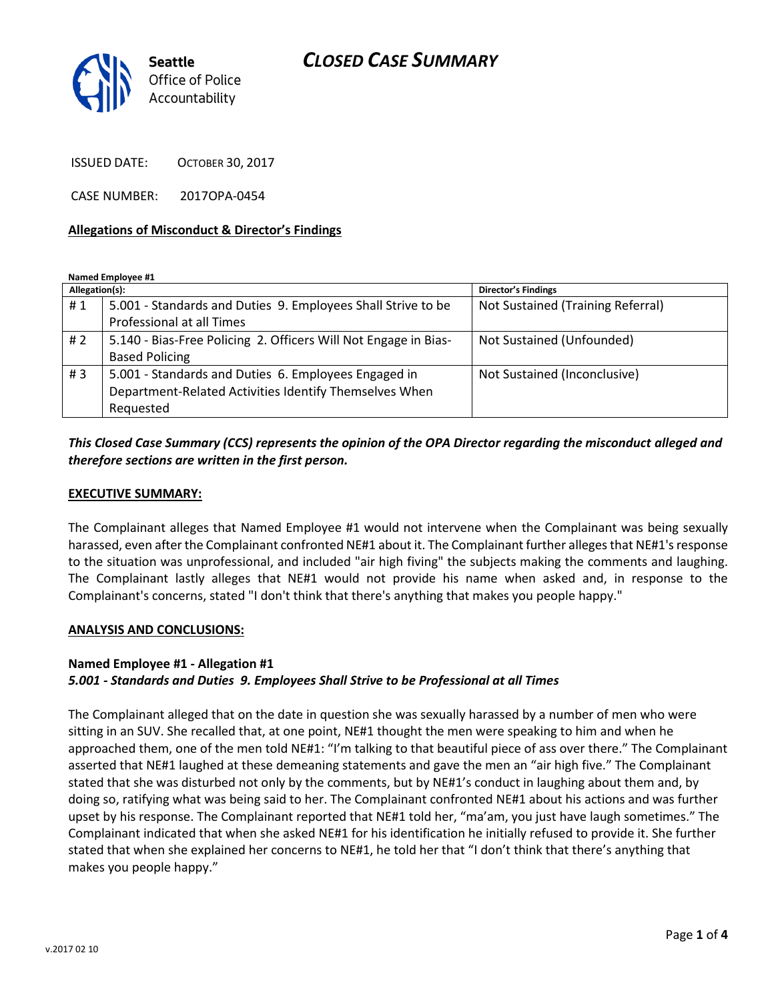# *CLOSED CASE SUMMARY*



ISSUED DATE: OCTOBER 30, 2017

CASE NUMBER: 2017OPA-0454

### **Allegations of Misconduct & Director's Findings**

**Named Employee #1**

| Allegation(s): |                                                                 | Director's Findings               |
|----------------|-----------------------------------------------------------------|-----------------------------------|
| #1             | 5.001 - Standards and Duties 9. Employees Shall Strive to be    | Not Sustained (Training Referral) |
|                | Professional at all Times                                       |                                   |
| #2             | 5.140 - Bias-Free Policing 2. Officers Will Not Engage in Bias- | Not Sustained (Unfounded)         |
|                | <b>Based Policing</b>                                           |                                   |
| #3             | 5.001 - Standards and Duties 6. Employees Engaged in            | Not Sustained (Inconclusive)      |
|                | Department-Related Activities Identify Themselves When          |                                   |
|                | Requested                                                       |                                   |

### *This Closed Case Summary (CCS) represents the opinion of the OPA Director regarding the misconduct alleged and therefore sections are written in the first person.*

#### **EXECUTIVE SUMMARY:**

The Complainant alleges that Named Employee #1 would not intervene when the Complainant was being sexually harassed, even after the Complainant confronted NE#1 about it. The Complainant further alleges that NE#1's response to the situation was unprofessional, and included "air high fiving" the subjects making the comments and laughing. The Complainant lastly alleges that NE#1 would not provide his name when asked and, in response to the Complainant's concerns, stated "I don't think that there's anything that makes you people happy."

#### **ANALYSIS AND CONCLUSIONS:**

#### **Named Employee #1 - Allegation #1**

### *5.001 - Standards and Duties 9. Employees Shall Strive to be Professional at all Times*

The Complainant alleged that on the date in question she was sexually harassed by a number of men who were sitting in an SUV. She recalled that, at one point, NE#1 thought the men were speaking to him and when he approached them, one of the men told NE#1: "I'm talking to that beautiful piece of ass over there." The Complainant asserted that NE#1 laughed at these demeaning statements and gave the men an "air high five." The Complainant stated that she was disturbed not only by the comments, but by NE#1's conduct in laughing about them and, by doing so, ratifying what was being said to her. The Complainant confronted NE#1 about his actions and was further upset by his response. The Complainant reported that NE#1 told her, "ma'am, you just have laugh sometimes." The Complainant indicated that when she asked NE#1 for his identification he initially refused to provide it. She further stated that when she explained her concerns to NE#1, he told her that "I don't think that there's anything that makes you people happy."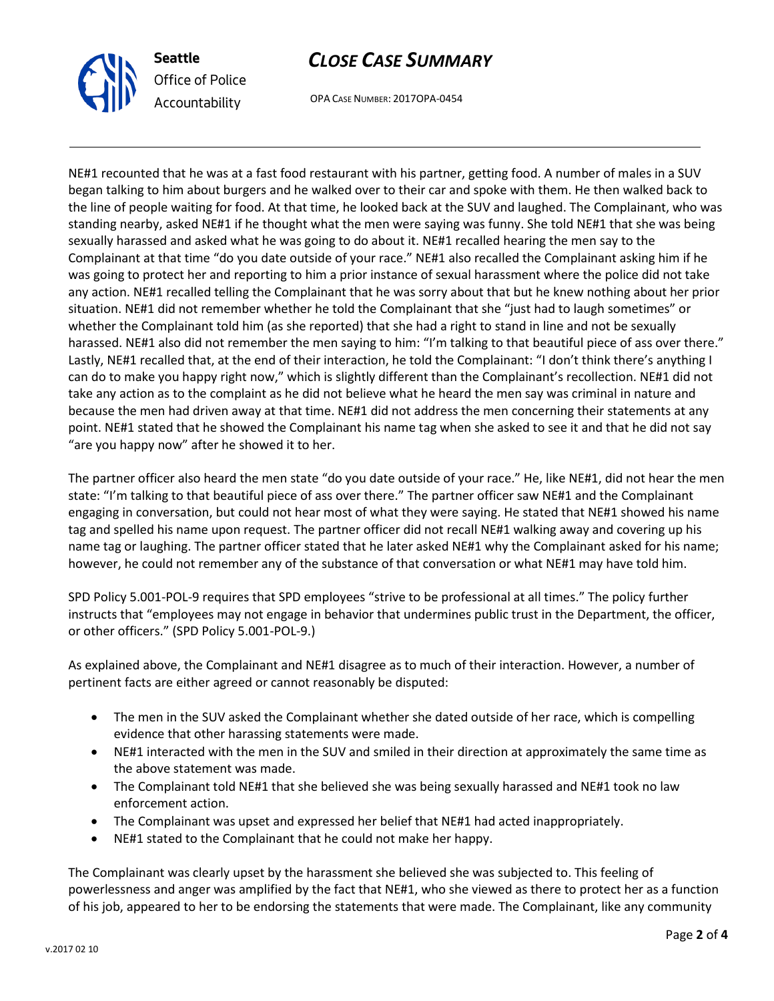

# *CLOSE CASE SUMMARY*

OPA CASE NUMBER: 2017OPA-0454

NE#1 recounted that he was at a fast food restaurant with his partner, getting food. A number of males in a SUV began talking to him about burgers and he walked over to their car and spoke with them. He then walked back to the line of people waiting for food. At that time, he looked back at the SUV and laughed. The Complainant, who was standing nearby, asked NE#1 if he thought what the men were saying was funny. She told NE#1 that she was being sexually harassed and asked what he was going to do about it. NE#1 recalled hearing the men say to the Complainant at that time "do you date outside of your race." NE#1 also recalled the Complainant asking him if he was going to protect her and reporting to him a prior instance of sexual harassment where the police did not take any action. NE#1 recalled telling the Complainant that he was sorry about that but he knew nothing about her prior situation. NE#1 did not remember whether he told the Complainant that she "just had to laugh sometimes" or whether the Complainant told him (as she reported) that she had a right to stand in line and not be sexually harassed. NE#1 also did not remember the men saying to him: "I'm talking to that beautiful piece of ass over there." Lastly, NE#1 recalled that, at the end of their interaction, he told the Complainant: "I don't think there's anything I can do to make you happy right now," which is slightly different than the Complainant's recollection. NE#1 did not take any action as to the complaint as he did not believe what he heard the men say was criminal in nature and because the men had driven away at that time. NE#1 did not address the men concerning their statements at any point. NE#1 stated that he showed the Complainant his name tag when she asked to see it and that he did not say "are you happy now" after he showed it to her.

The partner officer also heard the men state "do you date outside of your race." He, like NE#1, did not hear the men state: "I'm talking to that beautiful piece of ass over there." The partner officer saw NE#1 and the Complainant engaging in conversation, but could not hear most of what they were saying. He stated that NE#1 showed his name tag and spelled his name upon request. The partner officer did not recall NE#1 walking away and covering up his name tag or laughing. The partner officer stated that he later asked NE#1 why the Complainant asked for his name; however, he could not remember any of the substance of that conversation or what NE#1 may have told him.

SPD Policy 5.001-POL-9 requires that SPD employees "strive to be professional at all times." The policy further instructs that "employees may not engage in behavior that undermines public trust in the Department, the officer, or other officers." (SPD Policy 5.001-POL-9.)

As explained above, the Complainant and NE#1 disagree as to much of their interaction. However, a number of pertinent facts are either agreed or cannot reasonably be disputed:

- The men in the SUV asked the Complainant whether she dated outside of her race, which is compelling evidence that other harassing statements were made.
- NE#1 interacted with the men in the SUV and smiled in their direction at approximately the same time as the above statement was made.
- The Complainant told NE#1 that she believed she was being sexually harassed and NE#1 took no law enforcement action.
- The Complainant was upset and expressed her belief that NE#1 had acted inappropriately.
- NE#1 stated to the Complainant that he could not make her happy.

The Complainant was clearly upset by the harassment she believed she was subjected to. This feeling of powerlessness and anger was amplified by the fact that NE#1, who she viewed as there to protect her as a function of his job, appeared to her to be endorsing the statements that were made. The Complainant, like any community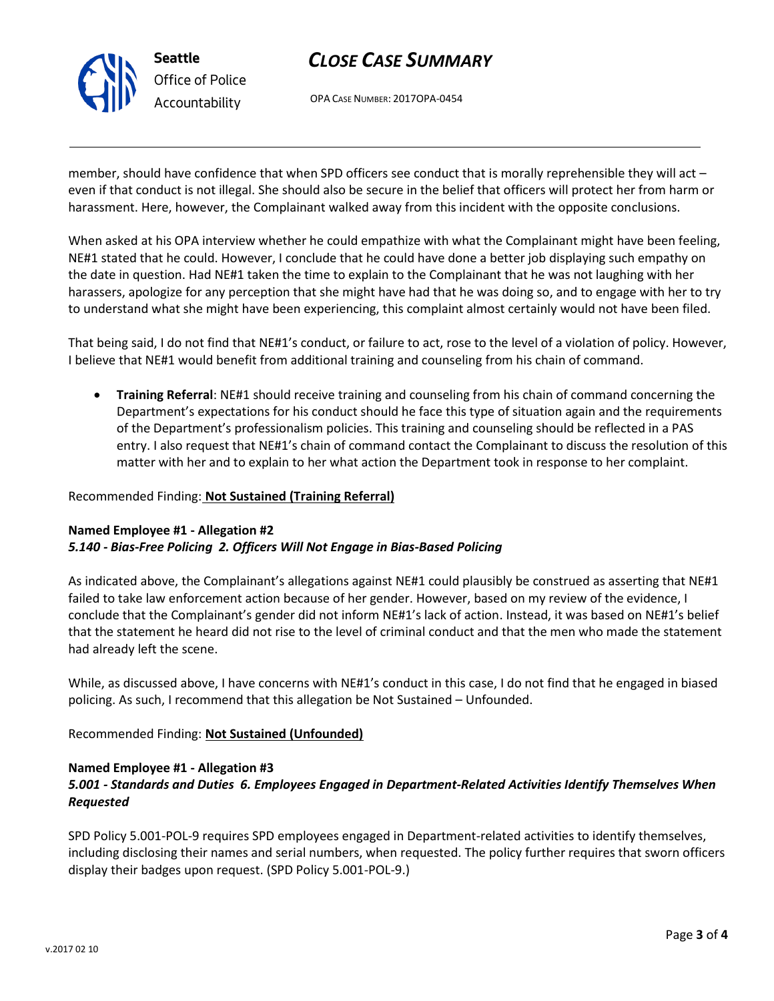

# *CLOSE CASE SUMMARY*

OPA CASE NUMBER: 2017OPA-0454

member, should have confidence that when SPD officers see conduct that is morally reprehensible they will act – even if that conduct is not illegal. She should also be secure in the belief that officers will protect her from harm or harassment. Here, however, the Complainant walked away from this incident with the opposite conclusions.

When asked at his OPA interview whether he could empathize with what the Complainant might have been feeling, NE#1 stated that he could. However, I conclude that he could have done a better job displaying such empathy on the date in question. Had NE#1 taken the time to explain to the Complainant that he was not laughing with her harassers, apologize for any perception that she might have had that he was doing so, and to engage with her to try to understand what she might have been experiencing, this complaint almost certainly would not have been filed.

That being said, I do not find that NE#1's conduct, or failure to act, rose to the level of a violation of policy. However, I believe that NE#1 would benefit from additional training and counseling from his chain of command.

• **Training Referral**: NE#1 should receive training and counseling from his chain of command concerning the Department's expectations for his conduct should he face this type of situation again and the requirements of the Department's professionalism policies. This training and counseling should be reflected in a PAS entry. I also request that NE#1's chain of command contact the Complainant to discuss the resolution of this matter with her and to explain to her what action the Department took in response to her complaint.

### Recommended Finding: **Not Sustained (Training Referral)**

### **Named Employee #1 - Allegation #2** *5.140 - Bias-Free Policing 2. Officers Will Not Engage in Bias-Based Policing*

As indicated above, the Complainant's allegations against NE#1 could plausibly be construed as asserting that NE#1 failed to take law enforcement action because of her gender. However, based on my review of the evidence, I conclude that the Complainant's gender did not inform NE#1's lack of action. Instead, it was based on NE#1's belief that the statement he heard did not rise to the level of criminal conduct and that the men who made the statement had already left the scene.

While, as discussed above, I have concerns with NE#1's conduct in this case, I do not find that he engaged in biased policing. As such, I recommend that this allegation be Not Sustained – Unfounded.

Recommended Finding: **Not Sustained (Unfounded)**

## **Named Employee #1 - Allegation #3**

## *5.001 - Standards and Duties 6. Employees Engaged in Department-Related Activities Identify Themselves When Requested*

SPD Policy 5.001-POL-9 requires SPD employees engaged in Department-related activities to identify themselves, including disclosing their names and serial numbers, when requested. The policy further requires that sworn officers display their badges upon request. (SPD Policy 5.001-POL-9.)